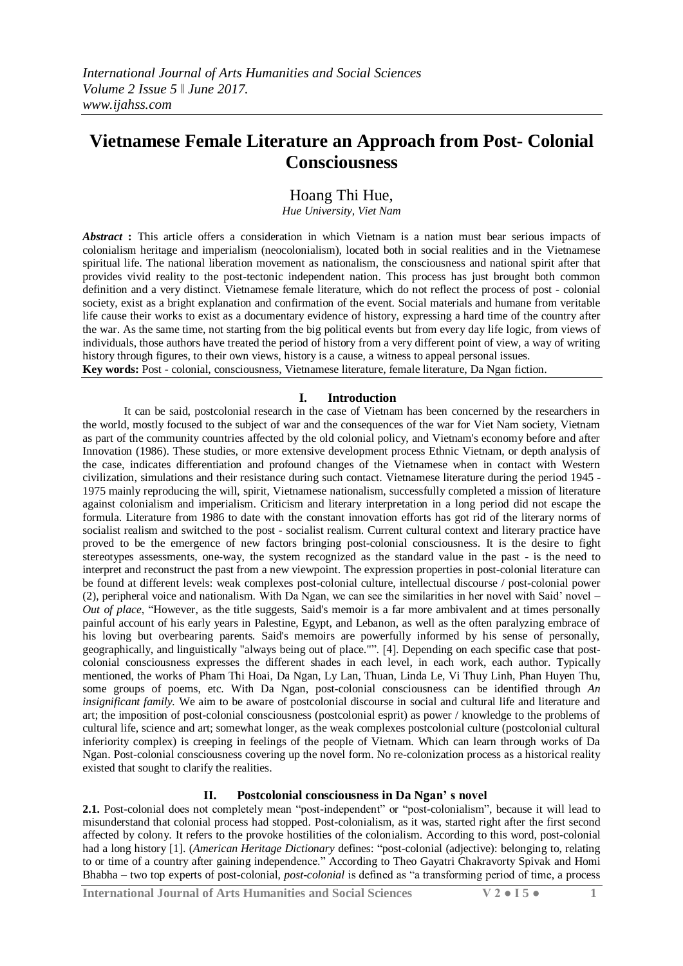# **Vietnamese Female Literature an Approach from Post- Colonial Consciousness**

Hoang Thi Hue,

*Hue University, Viet Nam*

*Abstract* **:** This article offers a consideration in which Vietnam is a nation must bear serious impacts of colonialism heritage and imperialism (neocolonialism), located both in social realities and in the Vietnamese spiritual life. The national liberation movement as nationalism, the consciousness and national spirit after that provides vivid reality to the post-tectonic independent nation. This process has just brought both common definition and a very distinct. Vietnamese female literature, which do not reflect the process of post - colonial society, exist as a bright explanation and confirmation of the event. Social materials and humane from veritable life cause their works to exist as a documentary evidence of history, expressing a hard time of the country after the war. As the same time, not starting from the big political events but from every day life logic, from views of individuals, those authors have treated the period of history from a very different point of view, a way of writing history through figures, to their own views, history is a cause, a witness to appeal personal issues. **Key words:** Post - colonial, consciousness, Vietnamese literature, female literature, Da Ngan fiction.

## **I. Introduction**

It can be said, postcolonial research in the case of Vietnam has been concerned by the researchers in the world, mostly focused to the subject of war and the consequences of the war for Viet Nam society, Vietnam as part of the community countries affected by the old colonial policy, and Vietnam's economy before and after Innovation (1986). These studies, or more extensive development process Ethnic Vietnam, or depth analysis of the case, indicates differentiation and profound changes of the Vietnamese when in contact with Western civilization, simulations and their resistance during such contact. Vietnamese literature during the period 1945 - 1975 mainly reproducing the will, spirit, Vietnamese nationalism, successfully completed a mission of literature against colonialism and imperialism. Criticism and literary interpretation in a long period did not escape the formula. Literature from 1986 to date with the constant innovation efforts has got rid of the literary norms of socialist realism and switched to the post - socialist realism. Current cultural context and literary practice have proved to be the emergence of new factors bringing post-colonial consciousness. It is the desire to fight stereotypes assessments, one-way, the system recognized as the standard value in the past - is the need to interpret and reconstruct the past from a new viewpoint. The expression properties in post-colonial literature can be found at different levels: weak complexes post-colonial culture, intellectual discourse / post-colonial power (2), peripheral voice and nationalism. With Da Ngan, we can see the similarities in her novel with Said" novel – *Out of place*, "However, as the title suggests, Said's memoir is a far more ambivalent and at times personally painful account of his early years in Palestine, Egypt, and Lebanon, as well as the often paralyzing embrace of his loving but overbearing parents. Said's memoirs are powerfully informed by his sense of personally, geographically, and linguistically "always being out of place."". [4]. Depending on each specific case that postcolonial consciousness expresses the different shades in each level, in each work, each author. Typically mentioned, the works of Pham Thi Hoai, Da Ngan, Ly Lan, Thuan, Linda Le, Vi Thuy Linh, Phan Huyen Thu, some groups of poems, etc. With Da Ngan, post-colonial consciousness can be identified through *An insignificant family.* We aim to be aware of postcolonial discourse in social and cultural life and literature and art; the imposition of post-colonial consciousness (postcolonial esprit) as power / knowledge to the problems of cultural life, science and art; somewhat longer, as the weak complexes postcolonial culture (postcolonial cultural inferiority complex) is creeping in feelings of the people of Vietnam. Which can learn through works of Da Ngan. Post-colonial consciousness covering up the novel form. No re-colonization process as a historical reality existed that sought to clarify the realities.

# **II. Postcolonial consciousness in Da Ngan' s novel**

2.1. Post-colonial does not completely mean "post-independent" or "post-colonialism", because it will lead to misunderstand that colonial process had stopped. Post-colonialism, as it was, started right after the first second affected by colony. It refers to the provoke hostilities of the colonialism. According to this word, post-colonial had a long history [1]. (*American Heritage Dictionary* defines: "post-colonial (adjective): belonging to, relating to or time of a country after gaining independence." According to Theo Gayatri Chakravorty Spivak and Homi Bhabha – two top experts of post-colonial, *post-colonial* is defined as "a transforming period of time, a process

**International Journal of Arts Humanities and Social Sciences V 2 ● I 5 ● 1**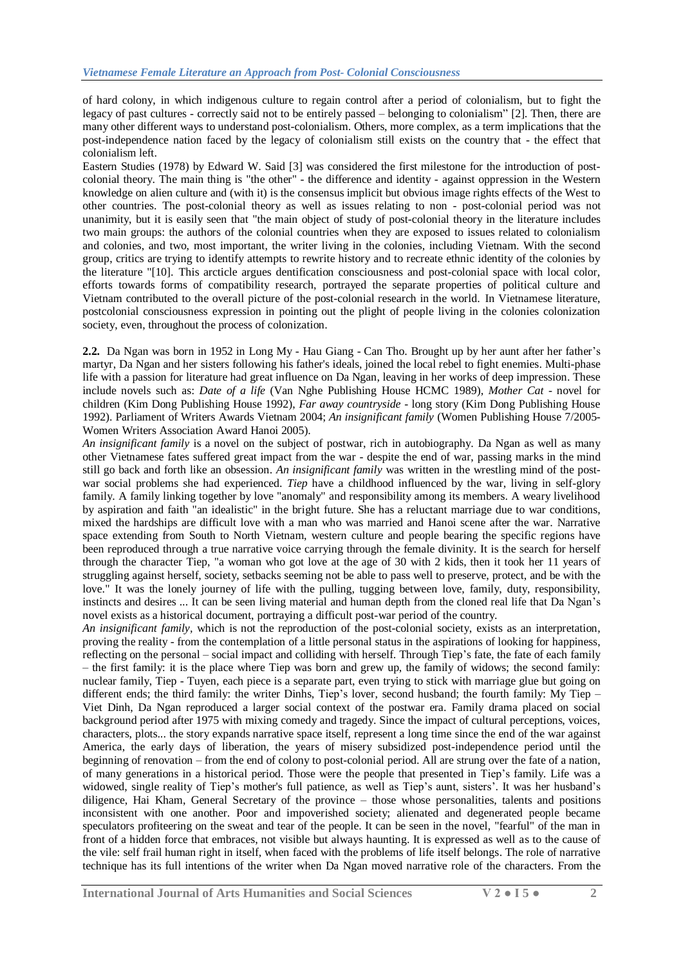of hard colony, in which indigenous culture to regain control after a period of colonialism, but to fight the legacy of past cultures - correctly said not to be entirely passed – belonging to colonialism" [2]. Then, there are many other different ways to understand post-colonialism. Others, more complex, as a term implications that the post-independence nation faced by the legacy of colonialism still exists on the country that - the effect that colonialism left.

Eastern Studies (1978) by Edward W. Said [3] was considered the first milestone for the introduction of postcolonial theory. The main thing is "the other" - the difference and identity - against oppression in the Western knowledge on alien culture and (with it) is the consensus implicit but obvious image rights effects of the West to other countries. The post-colonial theory as well as issues relating to non - post-colonial period was not unanimity, but it is easily seen that "the main object of study of post-colonial theory in the literature includes two main groups: the authors of the colonial countries when they are exposed to issues related to colonialism and colonies, and two, most important, the writer living in the colonies, including Vietnam. With the second group, critics are trying to identify attempts to rewrite history and to recreate ethnic identity of the colonies by the literature "[10]. This arcticle argues dentification consciousness and post-colonial space with local color, efforts towards forms of compatibility research, portrayed the separate properties of political culture and Vietnam contributed to the overall picture of the post-colonial research in the world. In Vietnamese literature, postcolonial consciousness expression in pointing out the plight of people living in the colonies colonization society, even, throughout the process of colonization.

**2.2.** Da Ngan was born in 1952 in Long My - Hau Giang - Can Tho. Brought up by her aunt after her father"s martyr, Da Ngan and her sisters following his father's ideals, joined the local rebel to fight enemies. Multi-phase life with a passion for literature had great influence on Da Ngan, leaving in her works of deep impression. These include novels such as: *Date of a life* (Van Nghe Publishing House HCMC 1989), *Mother Cat* - novel for children (Kim Dong Publishing House 1992), *Far away countryside* - long story (Kim Dong Publishing House 1992). Parliament of Writers Awards Vietnam 2004; *An insignificant family* (Women Publishing House 7/2005- Women Writers Association Award Hanoi 2005).

*An insignificant family* is a novel on the subject of postwar, rich in autobiography. Da Ngan as well as many other Vietnamese fates suffered great impact from the war - despite the end of war, passing marks in the mind still go back and forth like an obsession. *An insignificant family* was written in the wrestling mind of the postwar social problems she had experienced. *Tiep* have a childhood influenced by the war, living in self-glory family. A family linking together by love "anomaly" and responsibility among its members. A weary livelihood by aspiration and faith "an idealistic" in the bright future. She has a reluctant marriage due to war conditions, mixed the hardships are difficult love with a man who was married and Hanoi scene after the war. Narrative space extending from South to North Vietnam, western culture and people bearing the specific regions have been reproduced through a true narrative voice carrying through the female divinity. It is the search for herself through the character Tiep, "a woman who got love at the age of 30 with 2 kids, then it took her 11 years of struggling against herself, society, setbacks seeming not be able to pass well to preserve, protect, and be with the love." It was the lonely journey of life with the pulling, tugging between love, family, duty, responsibility, instincts and desires ... It can be seen living material and human depth from the cloned real life that Da Ngan"s novel exists as a historical document, portraying a difficult post-war period of the country.

*An insignificant family,* which is not the reproduction of the post-colonial society, exists as an interpretation, proving the reality - from the contemplation of a little personal status in the aspirations of looking for happiness, reflecting on the personal – social impact and colliding with herself. Through Tiep"s fate, the fate of each family – the first family: it is the place where Tiep was born and grew up, the family of widows; the second family: nuclear family, Tiep - Tuyen, each piece is a separate part, even trying to stick with marriage glue but going on different ends; the third family: the writer Dinhs, Tiep's lover, second husband; the fourth family: My Tiep – Viet Dinh, Da Ngan reproduced a larger social context of the postwar era. Family drama placed on social background period after 1975 with mixing comedy and tragedy. Since the impact of cultural perceptions, voices, characters, plots... the story expands narrative space itself, represent a long time since the end of the war against America, the early days of liberation, the years of misery subsidized post-independence period until the beginning of renovation – from the end of colony to post-colonial period. All are strung over the fate of a nation, of many generations in a historical period. Those were the people that presented in Tiep"s family. Life was a widowed, single reality of Tiep's mother's full patience, as well as Tiep's aunt, sisters'. It was her husband's diligence, Hai Kham, General Secretary of the province – those whose personalities, talents and positions inconsistent with one another. Poor and impoverished society; alienated and degenerated people became speculators profiteering on the sweat and tear of the people. It can be seen in the novel, "fearful" of the man in front of a hidden force that embraces, not visible but always haunting. It is expressed as well as to the cause of the vile: self frail human right in itself, when faced with the problems of life itself belongs. The role of narrative technique has its full intentions of the writer when Da Ngan moved narrative role of the characters. From the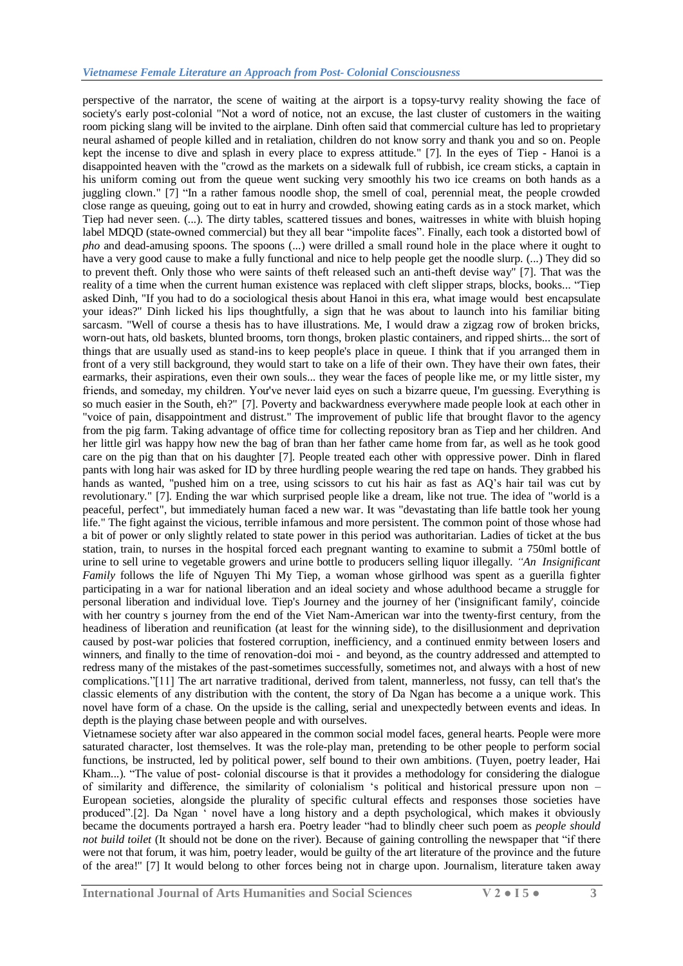perspective of the narrator, the scene of waiting at the airport is a topsy-turvy reality showing the face of society's early post-colonial "Not a word of notice, not an excuse, the last cluster of customers in the waiting room picking slang will be invited to the airplane. Dinh often said that commercial culture has led to proprietary neural ashamed of people killed and in retaliation, children do not know sorry and thank you and so on. People kept the incense to dive and splash in every place to express attitude." [7]. In the eyes of Tiep - Hanoi is a disappointed heaven with the "crowd as the markets on a sidewalk full of rubbish, ice cream sticks, a captain in his uniform coming out from the queue went sucking very smoothly his two ice creams on both hands as a juggling clown." [7] "In a rather famous noodle shop, the smell of coal, perennial meat, the people crowded close range as queuing, going out to eat in hurry and crowded, showing eating cards as in a stock market, which Tiep had never seen. (...). The dirty tables, scattered tissues and bones, waitresses in white with bluish hoping label MDQD (state-owned commercial) but they all bear "impolite faces". Finally, each took a distorted bowl of *pho* and dead-amusing spoons. The spoons (...) were drilled a small round hole in the place where it ought to have a very good cause to make a fully functional and nice to help people get the noodle slurp. (...) They did so to prevent theft. Only those who were saints of theft released such an anti-theft devise way" [7]. That was the reality of a time when the current human existence was replaced with cleft slipper straps, blocks, books... "Tiep asked Dinh, "If you had to do a sociological thesis about Hanoi in this era, what image would best encapsulate your ideas?" Dinh licked his lips thoughtfully, a sign that he was about to launch into his familiar biting sarcasm. "Well of course a thesis has to have illustrations. Me, I would draw a zigzag row of broken bricks, worn-out hats, old baskets, blunted brooms, torn thongs, broken plastic containers, and ripped shirts... the sort of things that are usually used as stand-ins to keep people's place in queue. I think that if you arranged them in front of a very still background, they would start to take on a life of their own. They have their own fates, their earmarks, their aspirations, even their own souls... they wear the faces of people like me, or my little sister, my friends, and someday, my children. Yoư've never laid eyes on such a bizarre queue, I'm guessing. Everything is so much easier in the South, eh?" [7]. Poverty and backwardness everywhere made people look at each other in "voice of pain, disappointment and distrust." The improvement of public life that brought flavor to the agency from the pig farm. Taking advantage of office time for collecting repository bran as Tiep and her children. And her little girl was happy how new the bag of bran than her father came home from far, as well as he took good care on the pig than that on his daughter [7]. People treated each other with oppressive power. Dinh in flared pants with long hair was asked for ID by three hurdling people wearing the red tape on hands. They grabbed his hands as wanted, "pushed him on a tree, using scissors to cut his hair as fast as AQ"s hair tail was cut by revolutionary." [7]. Ending the war which surprised people like a dream, like not true. The idea of "world is a peaceful, perfect", but immediately human faced a new war. It was "devastating than life battle took her young life." The fight against the vicious, terrible infamous and more persistent. The common point of those whose had a bit of power or only slightly related to state power in this period was authoritarian. Ladies of ticket at the bus station, train, to nurses in the hospital forced each pregnant wanting to examine to submit a 750ml bottle of urine to sell urine to vegetable growers and urine bottle to producers selling liquor illegally. *"An Insignificant Family* follows the life of Nguyen Thi My Tiep, a woman whose girlhood was spent as a guerilla fighter participating in a war for national liberation and an ideal society and whose adulthood became a struggle for personal liberation and individual love. Tiep's Journey and the journey of her ('insignificant family', coincide with her country s journey from the end of the Viet Nam-American war into the twenty-first century, from the headiness of liberation and reunification (at least for the winning side), to the disillusionment and deprivation caused by post-war policies that fostered corruption, inefficiency, and a continued enmity between losers and winners, and finally to the time of renovation-doi moi - and beyond, as the country addressed and attempted to redress many of the mistakes of the past-sometimes successfully, sometimes not, and always with a host of new complications."[11] The art narrative traditional, derived from talent, mannerless, not fussy, can tell that's the classic elements of any distribution with the content, the story of Da Ngan has become a a unique work. This novel have form of a chase. On the upside is the calling, serial and unexpectedly between events and ideas. In depth is the playing chase between people and with ourselves.

Vietnamese society after war also appeared in the common social model faces, general hearts. People were more saturated character, lost themselves. It was the role-play man, pretending to be other people to perform social functions, be instructed, led by political power, self bound to their own ambitions. (Tuyen, poetry leader, Hai Kham...). "The value of post- colonial discourse is that it provides a methodology for considering the dialogue of similarity and difference, the similarity of colonialism "s political and historical pressure upon non – European societies, alongside the plurality of specific cultural effects and responses those societies have produced".[2]. Da Ngan ' novel have a long history and a depth psychological, which makes it obviously became the documents portrayed a harsh era. Poetry leader "had to blindly cheer such poem as *people should not build toilet* (It should not be done on the river). Because of gaining controlling the newspaper that "if there were not that forum, it was him, poetry leader, would be guilty of the art literature of the province and the future of the area!'' [7] It would belong to other forces being not in charge upon. Journalism, literature taken away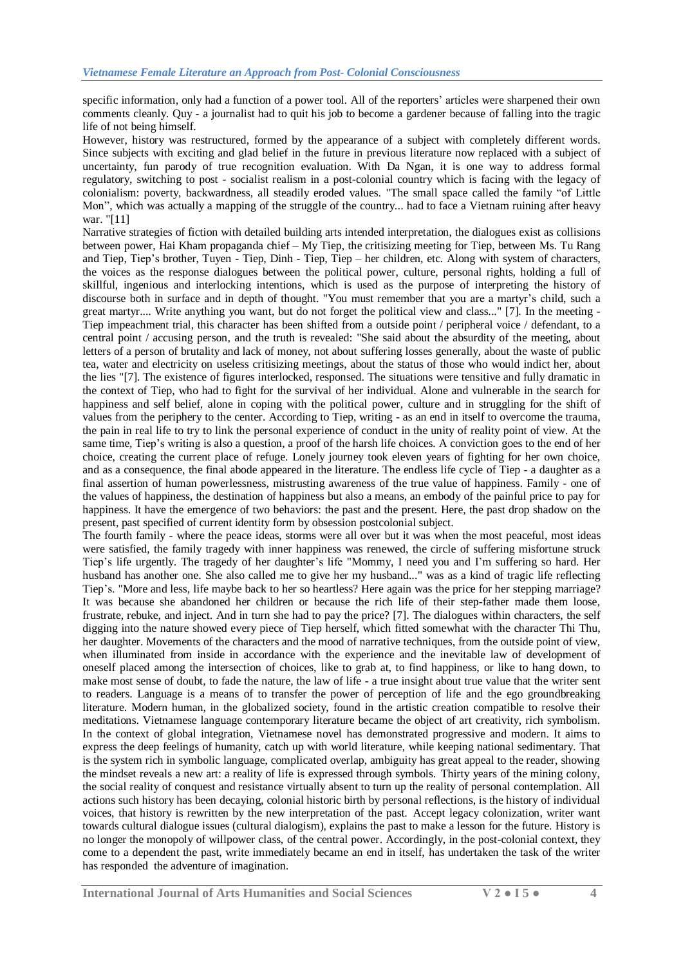specific information, only had a function of a power tool. All of the reporters' articles were sharpened their own comments cleanly. Quy - a journalist had to quit his job to become a gardener because of falling into the tragic life of not being himself.

However, history was restructured, formed by the appearance of a subject with completely different words. Since subjects with exciting and glad belief in the future in previous literature now replaced with a subject of uncertainty, fun parody of true recognition evaluation. With Da Ngan, it is one way to address formal regulatory, switching to post - socialist realism in a post-colonial country which is facing with the legacy of colonialism: poverty, backwardness, all steadily eroded values. "The small space called the family "of Little Mon", which was actually a mapping of the struggle of the country... had to face a Vietnam ruining after heavy war. "[11]

Narrative strategies of fiction with detailed building arts intended interpretation, the dialogues exist as collisions between power, Hai Kham propaganda chief – My Tiep, the critisizing meeting for Tiep, between Ms. Tu Rang and Tiep, Tiep's brother, Tuyen - Tiep, Dinh - Tiep, Tiep – her children, etc. Along with system of characters, the voices as the response dialogues between the political power, culture, personal rights, holding a full of skillful, ingenious and interlocking intentions, which is used as the purpose of interpreting the history of discourse both in surface and in depth of thought. "You must remember that you are a martyr"s child, such a great martyr.... Write anything you want, but do not forget the political view and class..." [7]. In the meeting - Tiep impeachment trial, this character has been shifted from a outside point / peripheral voice / defendant, to a central point / accusing person, and the truth is revealed: "She said about the absurdity of the meeting, about letters of a person of brutality and lack of money, not about suffering losses generally, about the waste of public tea, water and electricity on useless critisizing meetings, about the status of those who would indict her, about the lies "[7]. The existence of figures interlocked, responsed. The situations were tensitive and fully dramatic in the context of Tiep, who had to fight for the survival of her individual. Alone and vulnerable in the search for happiness and self belief, alone in coping with the political power, culture and in struggling for the shift of values from the periphery to the center. According to Tiep, writing - as an end in itself to overcome the trauma, the pain in real life to try to link the personal experience of conduct in the unity of reality point of view. At the same time, Tiep's writing is also a question, a proof of the harsh life choices. A conviction goes to the end of her choice, creating the current place of refuge. Lonely journey took eleven years of fighting for her own choice, and as a consequence, the final abode appeared in the literature. The endless life cycle of Tiep - a daughter as a final assertion of human powerlessness, mistrusting awareness of the true value of happiness. Family - one of the values of happiness, the destination of happiness but also a means, an embody of the painful price to pay for happiness. It have the emergence of two behaviors: the past and the present. Here, the past drop shadow on the present, past specified of current identity form by obsession postcolonial subject.

The fourth family - where the peace ideas, storms were all over but it was when the most peaceful, most ideas were satisfied, the family tragedy with inner happiness was renewed, the circle of suffering misfortune struck Tiep"s life urgently. The tragedy of her daughter"s life "Mommy, I need you and I"m suffering so hard. Her husband has another one. She also called me to give her my husband..." was as a kind of tragic life reflecting Tiep"s. "More and less, life maybe back to her so heartless? Here again was the price for her stepping marriage? It was because she abandoned her children or because the rich life of their step-father made them loose, frustrate, rebuke, and inject. And in turn she had to pay the price? [7]. The dialogues within characters, the self digging into the nature showed every piece of Tiep herself, which fitted somewhat with the character Thi Thu, her daughter. Movements of the characters and the mood of narrative techniques, from the outside point of view, when illuminated from inside in accordance with the experience and the inevitable law of development of oneself placed among the intersection of choices, like to grab at, to find happiness, or like to hang down, to make most sense of doubt, to fade the nature, the law of life - a true insight about true value that the writer sent to readers. Language is a means of to transfer the power of perception of life and the ego groundbreaking literature. Modern human, in the globalized society, found in the artistic creation compatible to resolve their meditations. Vietnamese language contemporary literature became the object of art creativity, rich symbolism. In the context of global integration, Vietnamese novel has demonstrated progressive and modern. It aims to express the deep feelings of humanity, catch up with world literature, while keeping national sedimentary. That is the system rich in symbolic language, complicated overlap, ambiguity has great appeal to the reader, showing the mindset reveals a new art: a reality of life is expressed through symbols. Thirty years of the mining colony, the social reality of conquest and resistance virtually absent to turn up the reality of personal contemplation. All actions such history has been decaying, colonial historic birth by personal reflections, is the history of individual voices, that history is rewritten by the new interpretation of the past. Accept legacy colonization, writer want towards cultural dialogue issues (cultural dialogism), explains the past to make a lesson for the future. History is no longer the monopoly of willpower class, of the central power. Accordingly, in the post-colonial context, they come to a dependent the past, write immediately became an end in itself, has undertaken the task of the writer has responded the adventure of imagination.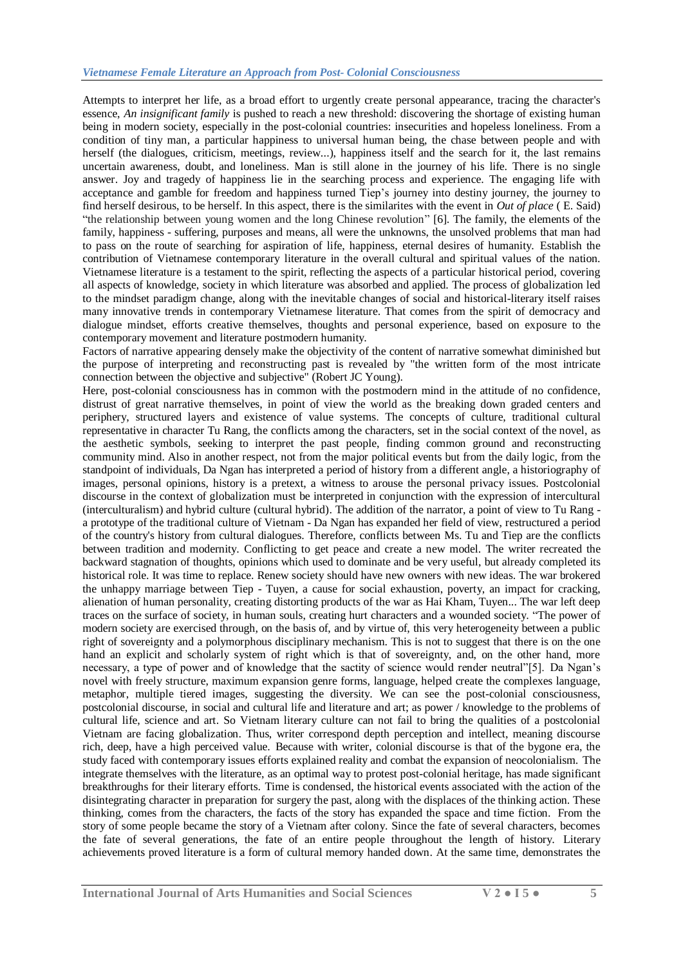Attempts to interpret her life, as a broad effort to urgently create personal appearance, tracing the character's essence, *An insignificant family* is pushed to reach a new threshold: discovering the shortage of existing human being in modern society, especially in the post-colonial countries: insecurities and hopeless loneliness. From a condition of tiny man, a particular happiness to universal human being, the chase between people and with herself (the dialogues, criticism, meetings, review...), happiness itself and the search for it, the last remains uncertain awareness, doubt, and loneliness. Man is still alone in the journey of his life. There is no single answer. Joy and tragedy of happiness lie in the searching process and experience. The engaging life with acceptance and gamble for freedom and happiness turned Tiep"s journey into destiny journey, the journey to find herself desirous, to be herself. In this aspect, there is the similarites with the event in *Out of place* ( E. Said) "the relationship between young women and the long Chinese revolution" [6]. The family, the elements of the family, happiness - suffering, purposes and means, all were the unknowns, the unsolved problems that man had to pass on the route of searching for aspiration of life, happiness, eternal desires of humanity. Establish the contribution of Vietnamese contemporary literature in the overall cultural and spiritual values of the nation. Vietnamese literature is a testament to the spirit, reflecting the aspects of a particular historical period, covering all aspects of knowledge, society in which literature was absorbed and applied. The process of globalization led to the mindset paradigm change, along with the inevitable changes of social and historical-literary itself raises many innovative trends in contemporary Vietnamese literature. That comes from the spirit of democracy and dialogue mindset, efforts creative themselves, thoughts and personal experience, based on exposure to the contemporary movement and literature postmodern humanity.

Factors of narrative appearing densely make the objectivity of the content of narrative somewhat diminished but the purpose of interpreting and reconstructing past is revealed by "the written form of the most intricate connection between the objective and subjective" (Robert JC Young).

Here, post-colonial consciousness has in common with the postmodern mind in the attitude of no confidence, distrust of great narrative themselves, in point of view the world as the breaking down graded centers and periphery, structured layers and existence of value systems. The concepts of culture, traditional cultural representative in character Tu Rang, the conflicts among the characters, set in the social context of the novel, as the aesthetic symbols, seeking to interpret the past people, finding common ground and reconstructing community mind. Also in another respect, not from the major political events but from the daily logic, from the standpoint of individuals, Da Ngan has interpreted a period of history from a different angle, a historiography of images, personal opinions, history is a pretext, a witness to arouse the personal privacy issues. Postcolonial discourse in the context of globalization must be interpreted in conjunction with the expression of intercultural (interculturalism) and hybrid culture (cultural hybrid). The addition of the narrator, a point of view to Tu Rang a prototype of the traditional culture of Vietnam - Da Ngan has expanded her field of view, restructured a period of the country's history from cultural dialogues. Therefore, conflicts between Ms. Tu and Tiep are the conflicts between tradition and modernity. Conflicting to get peace and create a new model. The writer recreated the backward stagnation of thoughts, opinions which used to dominate and be very useful, but already completed its historical role. It was time to replace. Renew society should have new owners with new ideas. The war brokered the unhappy marriage between Tiep - Tuyen, a cause for social exhaustion, poverty, an impact for cracking, alienation of human personality, creating distorting products of the war as Hai Kham, Tuyen... The war left deep traces on the surface of society, in human souls, creating hurt characters and a wounded society. "The power of modern society are exercised through, on the basis of, and by virtue of, this very heterogeneity between a public right of sovereignty and a polymorphous disciplinary mechanism. This is not to suggest that there is on the one hand an explicit and scholarly system of right which is that of sovereignty, and, on the other hand, more necessary, a type of power and of knowledge that the sactity of science would render neutral"[5]. Da Ngan's novel with freely structure, maximum expansion genre forms, language, helped create the complexes language, metaphor, multiple tiered images, suggesting the diversity. We can see the post-colonial consciousness, postcolonial discourse, in social and cultural life and literature and art; as power / knowledge to the problems of cultural life, science and art. So Vietnam literary culture can not fail to bring the qualities of a postcolonial Vietnam are facing globalization. Thus, writer correspond depth perception and intellect, meaning discourse rich, deep, have a high perceived value. Because with writer, colonial discourse is that of the bygone era, the study faced with contemporary issues efforts explained reality and combat the expansion of neocolonialism. The integrate themselves with the literature, as an optimal way to protest post-colonial heritage, has made significant breakthroughs for their literary efforts. Time is condensed, the historical events associated with the action of the disintegrating character in preparation for surgery the past, along with the displaces of the thinking action. These thinking, comes from the characters, the facts of the story has expanded the space and time fiction. From the story of some people became the story of a Vietnam after colony. Since the fate of several characters, becomes the fate of several generations, the fate of an entire people throughout the length of history. Literary achievements proved literature is a form of cultural memory handed down. At the same time, demonstrates the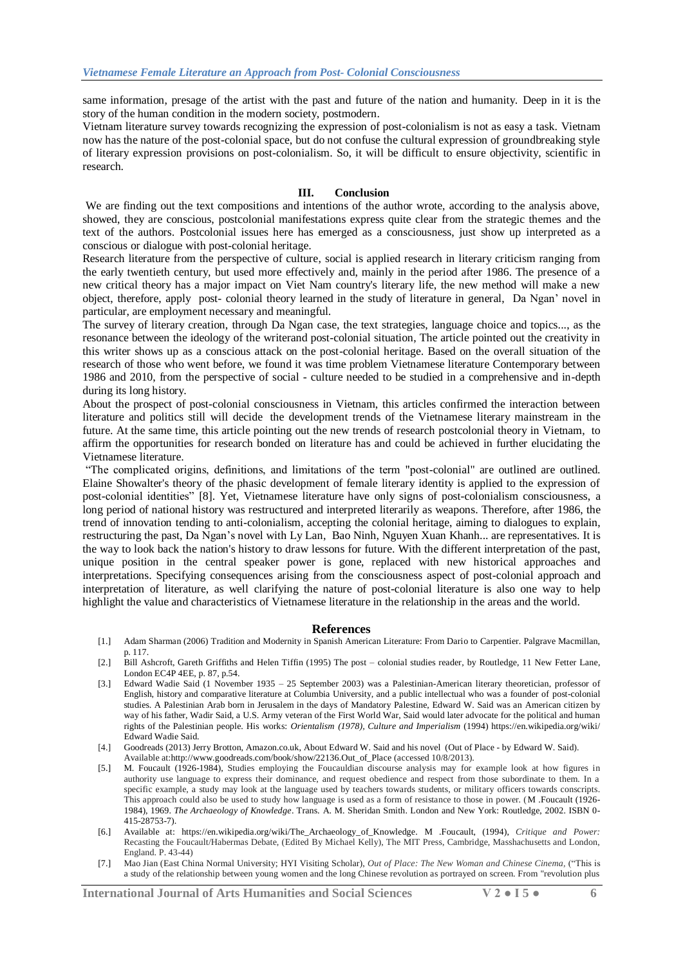same information, presage of the artist with the past and future of the nation and humanity. Deep in it is the story of the human condition in the modern society, postmodern.

Vietnam literature survey towards recognizing the expression of post-colonialism is not as easy a task. Vietnam now has the nature of the post-colonial space, but do not confuse the cultural expression of groundbreaking style of literary expression provisions on post-colonialism. So, it will be difficult to ensure objectivity, scientific in research.

## **III. Conclusion**

We are finding out the text compositions and intentions of the author wrote, according to the analysis above, showed, they are conscious, postcolonial manifestations express quite clear from the strategic themes and the text of the authors. Postcolonial issues here has emerged as a consciousness, just show up interpreted as a conscious or dialogue with post-colonial heritage.

Research literature from the perspective of culture, social is applied research in literary criticism ranging from the early twentieth century, but used more effectively and, mainly in the period after 1986. The presence of a new critical theory has a major impact on Viet Nam country's literary life, the new method will make a new object, therefore, apply post- colonial theory learned in the study of literature in general, Da Ngan" novel in particular, are employment necessary and meaningful.

The survey of literary creation, through Da Ngan case, the text strategies, language choice and topics..., as the resonance between the ideology of the writerand post-colonial situation, The article pointed out the creativity in this writer shows up as a conscious attack on the post-colonial heritage. Based on the overall situation of the research of those who went before, we found it was time problem Vietnamese literature Contemporary between 1986 and 2010, from the perspective of social - culture needed to be studied in a comprehensive and in-depth during its long history.

About the prospect of post-colonial consciousness in Vietnam, this articles confirmed the interaction between literature and politics still will decide the development trends of the Vietnamese literary mainstream in the future. At the same time, this article pointing out the new trends of research postcolonial theory in Vietnam, to affirm the opportunities for research bonded on literature has and could be achieved in further elucidating the Vietnamese literature.

"The complicated origins, definitions, and limitations of the term "post-colonial" are outlined are outlined. Elaine Showalter's theory of the phasic development of female literary identity is applied to the expression of post-colonial identities" [8]. Yet, Vietnamese literature have only signs of post-colonialism consciousness, a long period of national history was restructured and interpreted literarily as weapons. Therefore, after 1986, the trend of innovation tending to anti-colonialism, accepting the colonial heritage, aiming to dialogues to explain, restructuring the past, Da Ngan"s novel with Ly Lan, Bao Ninh, Nguyen Xuan Khanh... are representatives. It is the way to look back the nation's history to draw lessons for future. With the different interpretation of the past, unique position in the central speaker power is gone, replaced with new historical approaches and interpretations. Specifying consequences arising from the consciousness aspect of post-colonial approach and interpretation of literature, as well clarifying the nature of post-colonial literature is also one way to help highlight the value and characteristics of Vietnamese literature in the relationship in the areas and the world.

#### **References**

- [1.] Adam Sharman (2006) Tradition and Modernity in Spanish American Literature: From Dario to Carpentier[. Palgrave Macmillan,](http://www.tower.com/n_ad_search/search_5_rslt.cfm?div_id=5&label=Palgrave%20Macmillan)  p. 117.
- [2.] Bill Ashcroft, Gareth Griffiths and Helen Tiffin (1995) The post colonial studies reader*,* by Routledge, 11 New Fetter Lane, London EC4P 4EE, p. 87, p.54.
- [3.] Edward Wadie Said (1 November 1935 25 September 2003) was a [Palestinian-American](https://en.wikipedia.org/wiki/Palestinian_Americans) [literary theoretician,](https://en.wikipedia.org/wiki/Literary_theory) professor of English, history and comparative literature at Columbia University, and a public intellectual who was a founder of [post-colonial](https://en.wikipedia.org/wiki/Post-colonialism)  [studies.](https://en.wikipedia.org/wiki/Post-colonialism) A [Palestinian Arab](https://en.wikipedia.org/wiki/Palestinians) born in Jerusalem in the days of [Mandatory Palestine,](https://en.wikipedia.org/wiki/Mandatory_Palestine) Edward W. Said was a[n American citizen](https://en.wikipedia.org/wiki/Citizenship_in_the_United_States) by way of his father, Wadir Said, a U.S. Army veteran of the [First World War,](https://en.wikipedia.org/wiki/First_World_War) Said would later advocate for the political and human rights of the Palestinian people. His works: *Orientalism (1978), Culture and Imperialism* (1994) https://en.wikipedia.org/wiki/ Edward Wadie Said.
- [4.] Goodreads (2013) Jerry Brotton, Amazon.co.uk, About Edward W. Said and his novel (Out of Place b[y Edward W. Said\).](http://www.goodreads.com/author/show/24390.Edward_W_Said) Available at[:http://www.goodreads.com/book/show/22136.Out\\_of\\_Place](http://www.goodreads.com/book/show/22136.Out_of_Place) (accessed 10/8/2013).
- [5.] M. Foucault (1926-1984), Studies employing the Foucauldian discourse analysis may for example look at how figures in authority use language to express their dominance, and request obedience and respect from those subordinate to them. In a specific example, a study may look at the language used by teachers towards students, or military officers towards conscripts. This approach could also be used to study how language is used as a form of resistance to those in power. (M .Foucault (1926- 1984), 1969. *The Archaeology of Knowledge*. Trans. [A. M. Sheridan Smith.](https://en.wikipedia.org/wiki/A._M._Sheridan_Smith) London and New York: Routledge, 2002. [ISBN 0-](https://en.wikipedia.org/wiki/Special:BookSources/0415287537) [415-28753-7\).](https://en.wikipedia.org/wiki/Special:BookSources/0415287537)
- [6.] Available at: [https://en.wikipedia.org/wiki/The\\_Archaeology\\_of\\_Knowledge.](https://en.wikipedia.org/wiki/The_Archaeology_of_Knowledge) M .Foucault, (1994), *Critique and Power:* Recasting the Foucault/Habermas Debate, (Edited By Michael Kelly), The MIT Press, Cambridge, Masshachusetts and London, England. P. 43-44)
- [7.] Mao Jian (East China Normal University; HYI Visiting Scholar), *Out of Place: The New Woman and Chinese Cinema,* ("This is a study of the relationship between young women and the long Chinese revolution as portrayed on screen. From "revolution plus

**International Journal of Arts Humanities and Social Sciences V 2 ● I 5 ● 6**